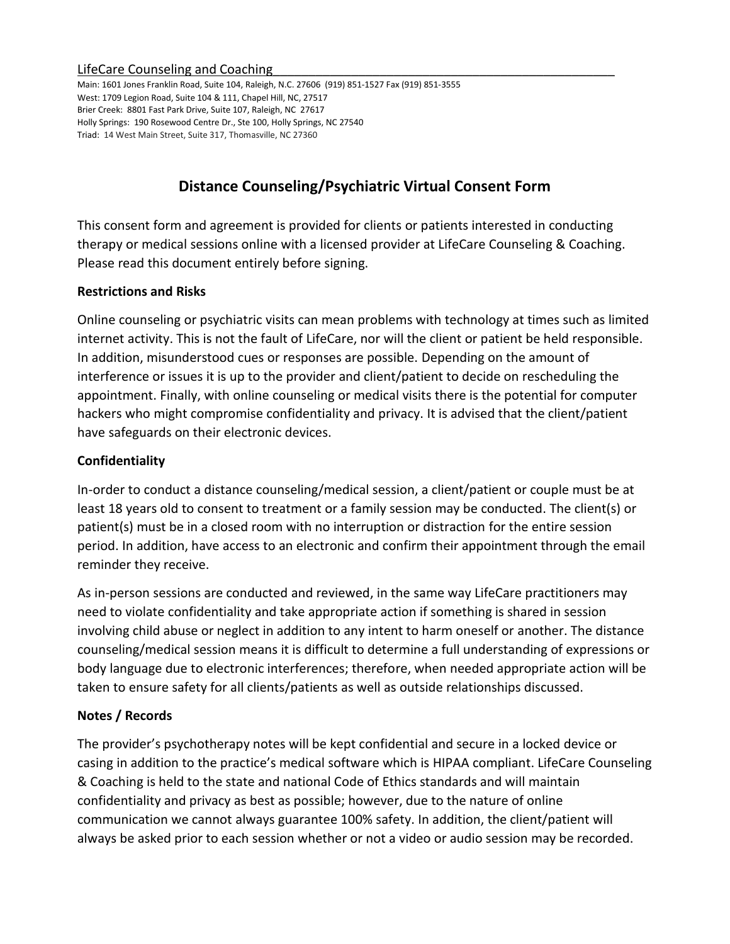#### LifeCare Counseling and Coaching

Main: 1601 Jones Franklin Road, Suite 104, Raleigh, N.C. 27606 (919) 851-1527 Fax (919) 851-3555 West: 1709 Legion Road, Suite 104 & 111, Chapel Hill, NC, 27517 Brier Creek: 8801 Fast Park Drive, Suite 107, Raleigh, NC 27617 Holly Springs: 190 Rosewood Centre Dr., Ste 100, Holly Springs, NC 27540 Triad: 14 West Main Street, Suite 317, Thomasville, NC 27360

# **Distance Counseling/Psychiatric Virtual Consent Form**

This consent form and agreement is provided for clients or patients interested in conducting therapy or medical sessions online with a licensed provider at LifeCare Counseling & Coaching. Please read this document entirely before signing.

## **Restrictions and Risks**

Online counseling or psychiatric visits can mean problems with technology at times such as limited internet activity. This is not the fault of LifeCare, nor will the client or patient be held responsible. In addition, misunderstood cues or responses are possible. Depending on the amount of interference or issues it is up to the provider and client/patient to decide on rescheduling the appointment. Finally, with online counseling or medical visits there is the potential for computer hackers who might compromise confidentiality and privacy. It is advised that the client/patient have safeguards on their electronic devices.

## **Confidentiality**

In-order to conduct a distance counseling/medical session, a client/patient or couple must be at least 18 years old to consent to treatment or a family session may be conducted. The client(s) or patient(s) must be in a closed room with no interruption or distraction for the entire session period. In addition, have access to an electronic and confirm their appointment through the email reminder they receive.

As in-person sessions are conducted and reviewed, in the same way LifeCare practitioners may need to violate confidentiality and take appropriate action if something is shared in session involving child abuse or neglect in addition to any intent to harm oneself or another. The distance counseling/medical session means it is difficult to determine a full understanding of expressions or body language due to electronic interferences; therefore, when needed appropriate action will be taken to ensure safety for all clients/patients as well as outside relationships discussed.

#### **Notes / Records**

The provider's psychotherapy notes will be kept confidential and secure in a locked device or casing in addition to the practice's medical software which is HIPAA compliant. LifeCare Counseling & Coaching is held to the state and national Code of Ethics standards and will maintain confidentiality and privacy as best as possible; however, due to the nature of online communication we cannot always guarantee 100% safety. In addition, the client/patient will always be asked prior to each session whether or not a video or audio session may be recorded.